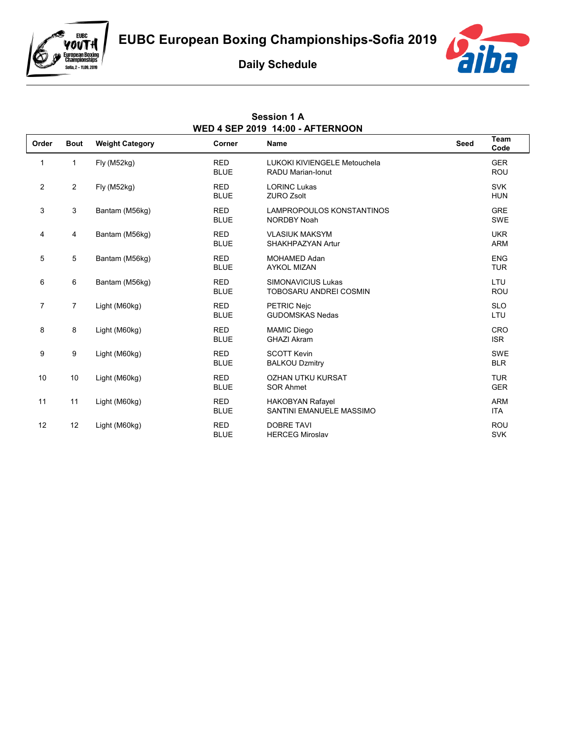

eubc<br>**YouTH** 

**European Boxing<br>Championships** Sofia, 2 - 11.09, 2019

## **Daily Schedule**

**Session 1 A**



| WED 4 SEP 2019 14:00 - AFTERNOON |                |                        |                           |                                                            |      |                          |  |
|----------------------------------|----------------|------------------------|---------------------------|------------------------------------------------------------|------|--------------------------|--|
| Order                            | <b>Bout</b>    | <b>Weight Category</b> | Corner                    | <b>Name</b>                                                | Seed | Team<br>Code             |  |
| $\mathbf{1}$                     | $\mathbf{1}$   | Fly (M52kg)            | <b>RED</b><br><b>BLUE</b> | LUKOKI KIVIENGELE Metouchela<br><b>RADU Marian-Ionut</b>   |      | <b>GER</b><br><b>ROU</b> |  |
| $\mathbf{2}$                     | $\overline{2}$ | Fly (M52kg)            | <b>RED</b><br><b>BLUE</b> | <b>LORINC Lukas</b><br><b>ZURO Zsolt</b>                   |      | <b>SVK</b><br><b>HUN</b> |  |
| 3                                | 3              | Bantam (M56kg)         | <b>RED</b><br><b>BLUE</b> | LAMPROPOULOS KONSTANTINOS<br><b>NORDBY Noah</b>            |      | <b>GRE</b><br>SWE        |  |
| 4                                | 4              | Bantam (M56kg)         | <b>RED</b><br><b>BLUE</b> | <b>VLASIUK MAKSYM</b><br>SHAKHPAZYAN Artur                 |      | <b>UKR</b><br><b>ARM</b> |  |
| 5                                | 5              | Bantam (M56kg)         | <b>RED</b><br><b>BLUE</b> | <b>MOHAMED Adan</b><br><b>AYKOL MIZAN</b>                  |      | <b>ENG</b><br><b>TUR</b> |  |
| 6                                | 6              | Bantam (M56kg)         | <b>RED</b><br><b>BLUE</b> | <b>SIMONAVICIUS Lukas</b><br><b>TOBOSARU ANDREI COSMIN</b> |      | LTU<br><b>ROU</b>        |  |
| $\overline{7}$                   | $\overline{7}$ | Light (M60kg)          | <b>RED</b><br><b>BLUE</b> | <b>PETRIC Neic</b><br><b>GUDOMSKAS Nedas</b>               |      | <b>SLO</b><br>LTU        |  |
| 8                                | 8              | Light (M60kg)          | <b>RED</b><br><b>BLUE</b> | <b>MAMIC Diego</b><br><b>GHAZI Akram</b>                   |      | <b>CRO</b><br><b>ISR</b> |  |
| 9                                | 9              | Light (M60kg)          | <b>RED</b><br><b>BLUE</b> | <b>SCOTT Kevin</b><br><b>BALKOU Dzmitry</b>                |      | <b>SWE</b><br><b>BLR</b> |  |
| 10                               | 10             | Light (M60kg)          | <b>RED</b><br><b>BLUE</b> | <b>OZHAN UTKU KURSAT</b><br><b>SOR Ahmet</b>               |      | <b>TUR</b><br><b>GER</b> |  |
| 11                               | 11             | Light (M60kg)          | <b>RED</b><br><b>BLUE</b> | <b>HAKOBYAN Rafayel</b><br>SANTINI EMANUELE MASSIMO        |      | <b>ARM</b><br><b>ITA</b> |  |
| 12                               | 12             | Light (M60kg)          | <b>RED</b><br><b>BLUE</b> | <b>DOBRE TAVI</b><br><b>HERCEG Miroslav</b>                |      | <b>ROU</b><br><b>SVK</b> |  |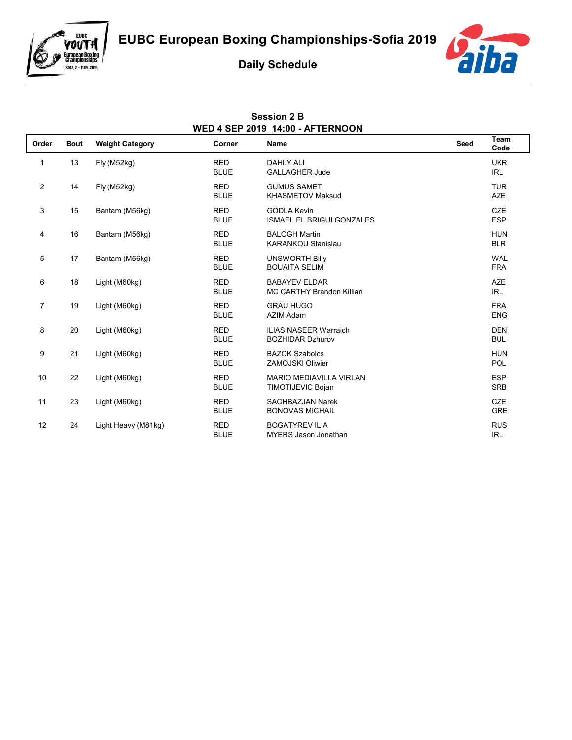

e<br>VOUT H

**European Boxing<br>Championships** Sofia, 2 - 11.09, 2019

## **Daily Schedule**

**Session 2 B**



| <b>WED 4 SEP 2019 14:00 - AFTERNOON</b> |             |                        |                           |                                                            |             |                          |  |
|-----------------------------------------|-------------|------------------------|---------------------------|------------------------------------------------------------|-------------|--------------------------|--|
| Order                                   | <b>Bout</b> | <b>Weight Category</b> | Corner                    | Name                                                       | <b>Seed</b> | Team<br>Code             |  |
| 1                                       | 13          | Fly (M52kg)            | <b>RED</b><br><b>BLUE</b> | <b>DAHLY ALI</b><br><b>GALLAGHER Jude</b>                  |             | <b>UKR</b><br><b>IRL</b> |  |
| $\overline{c}$                          | 14          | Fly (M52kg)            | <b>RED</b><br><b>BLUE</b> | <b>GUMUS SAMET</b><br><b>KHASMETOV Maksud</b>              |             | <b>TUR</b><br><b>AZE</b> |  |
| 3                                       | 15          | Bantam (M56kg)         | <b>RED</b><br><b>BLUE</b> | <b>GODLA Kevin</b><br><b>ISMAEL EL BRIGUI GONZALES</b>     |             | <b>CZE</b><br><b>ESP</b> |  |
| 4                                       | 16          | Bantam (M56kg)         | <b>RED</b><br><b>BLUE</b> | <b>BALOGH Martin</b><br><b>KARANKOU Stanislau</b>          |             | <b>HUN</b><br><b>BLR</b> |  |
| 5                                       | 17          | Bantam (M56kg)         | <b>RED</b><br><b>BLUE</b> | <b>UNSWORTH Billy</b><br><b>BOUAITA SELIM</b>              |             | <b>WAL</b><br><b>FRA</b> |  |
| 6                                       | 18          | Light (M60kg)          | <b>RED</b><br><b>BLUE</b> | <b>BABAYEV ELDAR</b><br><b>MC CARTHY Brandon Killian</b>   |             | <b>AZE</b><br><b>IRL</b> |  |
| $\overline{7}$                          | 19          | Light (M60kg)          | <b>RED</b><br><b>BLUE</b> | <b>GRAU HUGO</b><br>AZIM Adam                              |             | <b>FRA</b><br><b>ENG</b> |  |
| 8                                       | 20          | Light (M60kg)          | <b>RED</b><br><b>BLUE</b> | <b>ILIAS NASEER Warraich</b><br><b>BOZHIDAR Dzhurov</b>    |             | <b>DEN</b><br><b>BUL</b> |  |
| 9                                       | 21          | Light (M60kg)          | <b>RED</b><br><b>BLUE</b> | <b>BAZOK Szabolcs</b><br><b>ZAMOJSKI Oliwier</b>           |             | <b>HUN</b><br><b>POL</b> |  |
| 10                                      | 22          | Light (M60kg)          | <b>RED</b><br><b>BLUE</b> | <b>MARIO MEDIAVILLA VIRLAN</b><br><b>TIMOTIJEVIC Bojan</b> |             | <b>ESP</b><br><b>SRB</b> |  |
| 11                                      | 23          | Light (M60kg)          | <b>RED</b><br><b>BLUE</b> | <b>SACHBAZJAN Narek</b><br><b>BONOVAS MICHAIL</b>          |             | <b>CZE</b><br><b>GRE</b> |  |
| 12                                      | 24          | Light Heavy (M81kg)    | <b>RED</b><br><b>BLUE</b> | <b>BOGATYREV ILIA</b><br><b>MYERS Jason Jonathan</b>       |             | <b>RUS</b><br><b>IRL</b> |  |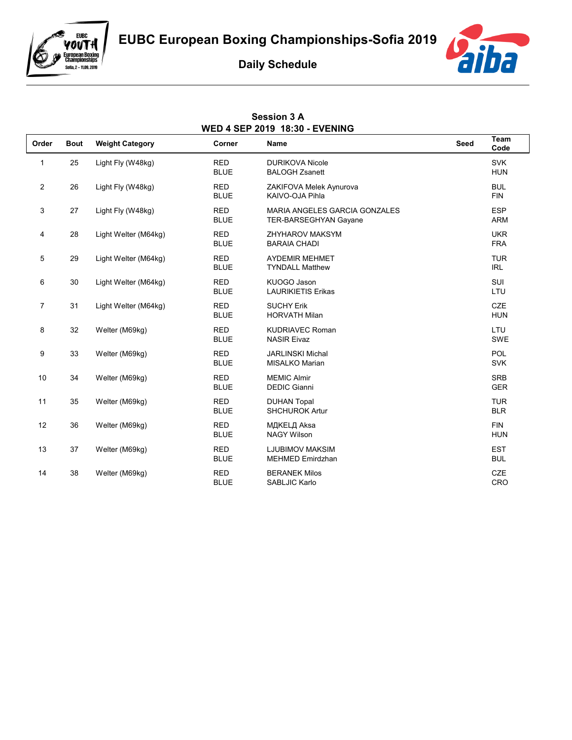

## e<br>Vouth **European Boxing<br>Championships** Sofia, 2 - 11.09, 2019



## **Daily Schedule**

**Session 3 A**

| <b>WED 4 SEP 2019 18:30 - EVENING</b> |             |                        |                           |                                                                      |             |                          |  |
|---------------------------------------|-------------|------------------------|---------------------------|----------------------------------------------------------------------|-------------|--------------------------|--|
| Order                                 | <b>Bout</b> | <b>Weight Category</b> | Corner                    | Name                                                                 | <b>Seed</b> | Team<br>Code             |  |
| $\mathbf{1}$                          | 25          | Light Fly (W48kg)      | <b>RED</b><br><b>BLUE</b> | <b>DURIKOVA Nicole</b><br><b>BALOGH Zsanett</b>                      |             | <b>SVK</b><br><b>HUN</b> |  |
| $\overline{2}$                        | 26          | Light Fly (W48kg)      | <b>RED</b><br><b>BLUE</b> | ZAKIFOVA Melek Aynurova<br>KAIVO-OJA Pihla                           |             | <b>BUL</b><br><b>FIN</b> |  |
| 3                                     | 27          | Light Fly (W48kg)      | <b>RED</b><br><b>BLUE</b> | <b>MARIA ANGELES GARCIA GONZALES</b><br><b>TER-BARSEGHYAN Gayane</b> |             | <b>ESP</b><br><b>ARM</b> |  |
| 4                                     | 28          | Light Welter (M64kg)   | <b>RED</b><br><b>BLUE</b> | <b>ZHYHAROV MAKSYM</b><br><b>BARAIA CHADI</b>                        |             | <b>UKR</b><br><b>FRA</b> |  |
| 5                                     | 29          | Light Welter (M64kg)   | <b>RED</b><br><b>BLUE</b> | <b>AYDEMIR MEHMET</b><br><b>TYNDALL Matthew</b>                      |             | <b>TUR</b><br><b>IRL</b> |  |
| 6                                     | 30          | Light Welter (M64kg)   | <b>RED</b><br><b>BLUE</b> | KUOGO Jason<br><b>LAURIKIETIS Erikas</b>                             |             | <b>SUI</b><br>LTU        |  |
| $\overline{7}$                        | 31          | Light Welter (M64kg)   | <b>RED</b><br><b>BLUE</b> | <b>SUCHY Erik</b><br><b>HORVATH Milan</b>                            |             | <b>CZE</b><br><b>HUN</b> |  |
| 8                                     | 32          | Welter (M69kg)         | <b>RED</b><br><b>BLUE</b> | <b>KUDRIAVEC Roman</b><br><b>NASIR Eivaz</b>                         |             | <b>LTU</b><br>SWE        |  |
| 9                                     | 33          | Welter (M69kg)         | <b>RED</b><br><b>BLUE</b> | <b>JARLINSKI Michal</b><br><b>MISALKO Marian</b>                     |             | POL<br><b>SVK</b>        |  |
| 10                                    | 34          | Welter (M69kg)         | <b>RED</b><br><b>BLUE</b> | <b>MEMIC Almir</b><br><b>DEDIC Gianni</b>                            |             | <b>SRB</b><br><b>GER</b> |  |
| 11                                    | 35          | Welter (M69kg)         | <b>RED</b><br><b>BLUE</b> | <b>DUHAN Topal</b><br>SHCHUROK Artur                                 |             | <b>TUR</b><br><b>BLR</b> |  |
| 12                                    | 36          | Welter (M69kg)         | <b>RED</b><br><b>BLUE</b> | МДКЕLД Aksa<br><b>NAGY Wilson</b>                                    |             | <b>FIN</b><br><b>HUN</b> |  |
| 13                                    | 37          | Welter (M69kg)         | <b>RED</b><br><b>BLUE</b> | <b>LJUBIMOV MAKSIM</b><br><b>MEHMED Emirdzhan</b>                    |             | <b>EST</b><br><b>BUL</b> |  |
| 14                                    | 38          | Welter (M69kg)         | <b>RED</b><br><b>BLUE</b> | <b>BERANEK Milos</b><br>SABLJIC Karlo                                |             | <b>CZE</b><br>CRO        |  |